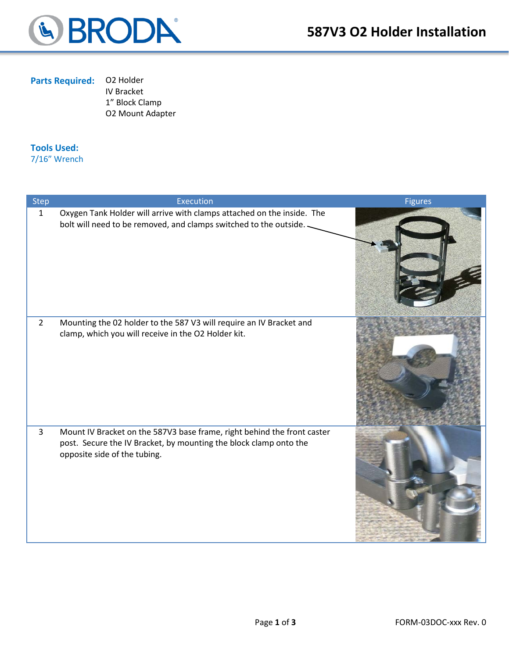

### **Parts Required:** O2 Holder

IV Bracket 1" Block Clamp O2 Mount Adapter

#### **Tools Used:**

7/16" Wrench

| <b>Step</b>    | Execution                                                                                                                                                                    | <b>Figures</b> |
|----------------|------------------------------------------------------------------------------------------------------------------------------------------------------------------------------|----------------|
| $\mathbf{1}$   | Oxygen Tank Holder will arrive with clamps attached on the inside. The<br>bolt will need to be removed, and clamps switched to the outside.                                  |                |
| $\overline{2}$ | Mounting the 02 holder to the 587 V3 will require an IV Bracket and<br>clamp, which you will receive in the O2 Holder kit.                                                   |                |
| 3              | Mount IV Bracket on the 587V3 base frame, right behind the front caster<br>post. Secure the IV Bracket, by mounting the block clamp onto the<br>opposite side of the tubing. |                |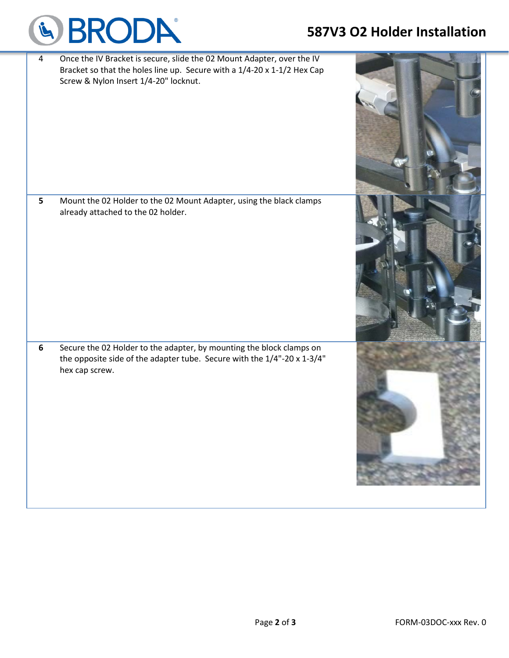# **587V3 O2 Holder Installation**



| $\overline{4}$ | Once the IV Bracket is secure, slide the 02 Mount Adapter, over the IV<br>Bracket so that the holes line up. Secure with a 1/4-20 x 1-1/2 Hex Cap<br>Screw & Nylon Insert 1/4-20" locknut. |  |
|----------------|--------------------------------------------------------------------------------------------------------------------------------------------------------------------------------------------|--|
| 5              | Mount the 02 Holder to the 02 Mount Adapter, using the black clamps<br>already attached to the 02 holder.                                                                                  |  |
| $\bf 6$        | Secure the 02 Holder to the adapter, by mounting the block clamps on<br>the opposite side of the adapter tube. Secure with the 1/4"-20 x 1-3/4"<br>hex cap screw.                          |  |